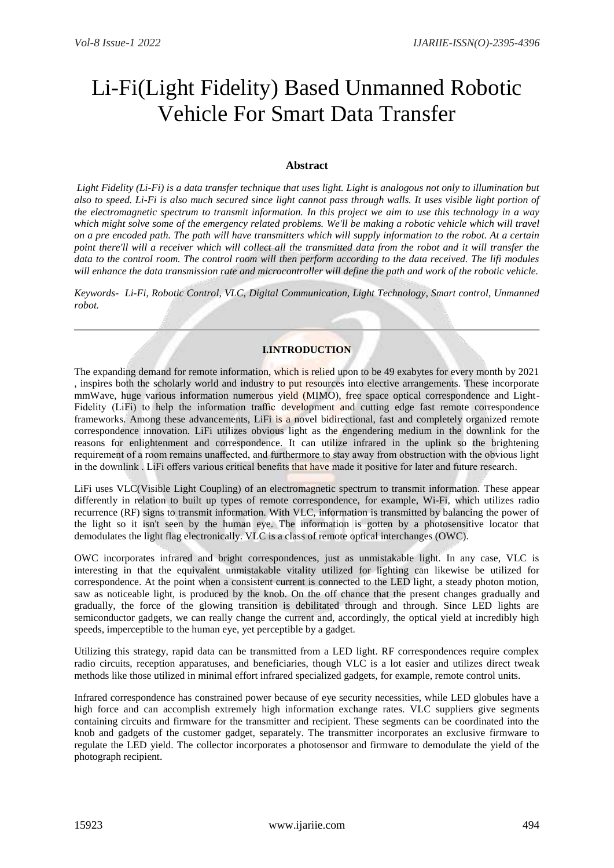# Li-Fi(Light Fidelity) Based Unmanned Robotic Vehicle For Smart Data Transfer

# **Abstract**

*Light Fidelity (Li-Fi) is a data transfer technique that uses light. Light is analogous not only to illumination but also to speed. Li-Fi is also much secured since light cannot pass through walls. It uses visible light portion of the electromagnetic spectrum to transmit information. In this project we aim to use this technology in a way which might solve some of the emergency related problems. We'll be making a robotic vehicle which will travel on a pre encoded path. The path will have transmitters which will supply information to the robot. At a certain point there'll will a receiver which will collect all the transmitted data from the robot and it will transfer the data to the control room. The control room will then perform according to the data received. The lifi modules will enhance the data transmission rate and microcontroller will define the path and work of the robotic vehicle.*

*Keywords- Li-Fi, Robotic Control, VLC, Digital Communication, Light Technology, Smart control, Unmanned robot.*

# **I.INTRODUCTION**

The expanding demand for remote information, which is relied upon to be 49 exabytes for every month by 2021 , inspires both the scholarly world and industry to put resources into elective arrangements. These incorporate mmWave, huge various information numerous yield (MIMO), free space optical correspondence and Light-Fidelity (LiFi) to help the information traffic development and cutting edge fast remote correspondence frameworks. Among these advancements, LiFi is a novel bidirectional, fast and completely organized remote correspondence innovation. LiFi utilizes obvious light as the engendering medium in the downlink for the reasons for enlightenment and correspondence. It can utilize infrared in the uplink so the brightening requirement of a room remains unaffected, and furthermore to stay away from obstruction with the obvious light in the downlink . LiFi offers various critical benefits that have made it positive for later and future research.

LiFi uses VLC(Visible Light Coupling) of an electromagnetic spectrum to transmit information. These appear differently in relation to built up types of remote correspondence, for example, Wi-Fi, which utilizes radio recurrence (RF) signs to transmit information. With VLC, information is transmitted by balancing the power of the light so it isn't seen by the human eye. The information is gotten by a photosensitive locator that demodulates the light flag electronically. VLC is a class of remote optical interchanges (OWC).

OWC incorporates infrared and bright correspondences, just as unmistakable light. In any case, VLC is interesting in that the equivalent unmistakable vitality utilized for lighting can likewise be utilized for correspondence. At the point when a consistent current is connected to the LED light, a steady photon motion, saw as noticeable light, is produced by the knob. On the off chance that the present changes gradually and gradually, the force of the glowing transition is debilitated through and through. Since LED lights are semiconductor gadgets, we can really change the current and, accordingly, the optical yield at incredibly high speeds, imperceptible to the human eye, yet perceptible by a gadget.

Utilizing this strategy, rapid data can be transmitted from a LED light. RF correspondences require complex radio circuits, reception apparatuses, and beneficiaries, though VLC is a lot easier and utilizes direct tweak methods like those utilized in minimal effort infrared specialized gadgets, for example, remote control units.

Infrared correspondence has constrained power because of eye security necessities, while LED globules have a high force and can accomplish extremely high information exchange rates. VLC suppliers give segments containing circuits and firmware for the transmitter and recipient. These segments can be coordinated into the knob and gadgets of the customer gadget, separately. The transmitter incorporates an exclusive firmware to regulate the LED yield. The collector incorporates a photosensor and firmware to demodulate the yield of the photograph recipient.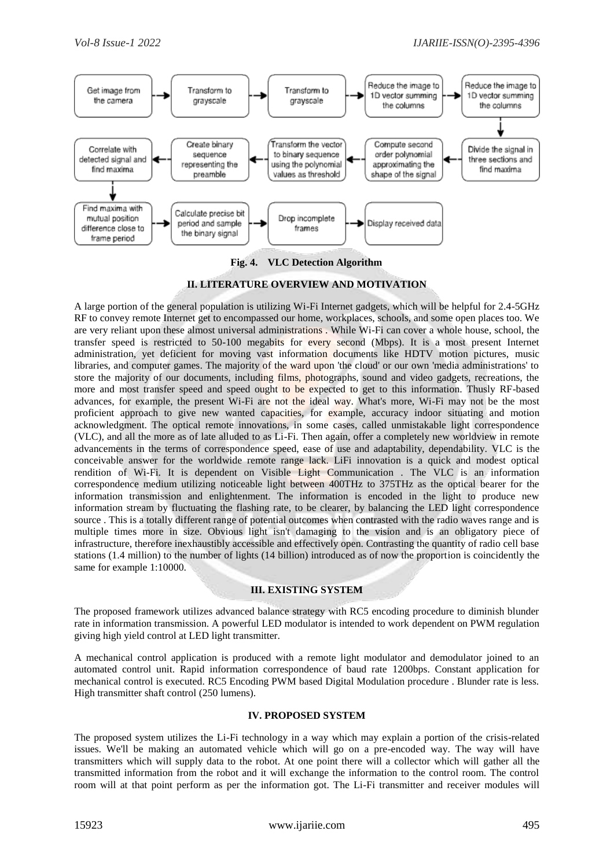

**Fig. 4. VLC Detection Algorithm**

# **II. LITERATURE OVERVIEW AND MOTIVATION**

A large portion of the general population is utilizing Wi-Fi Internet gadgets, which will be helpful for 2.4-5GHz RF to convey remote Internet get to encompassed our home, workplaces, schools, and some open places too. We are very reliant upon these almost universal administrations . While Wi-Fi can cover a whole house, school, the transfer speed is restricted to 50-100 megabits for every second (Mbps). It is a most present Internet administration, yet deficient for moving vast information documents like HDTV motion pictures, music libraries, and computer games. The majority of the ward upon 'the cloud' or our own 'media administrations' to store the majority of our documents, including films, photographs, sound and video gadgets, recreations, the more and most transfer speed and speed ought to be expected to get to this information. Thusly RF-based advances, for example, the present Wi-Fi are not the ideal way. What's more, Wi-Fi may not be the most proficient approach to give new wanted capacities, for example, accuracy indoor situating and motion acknowledgment. The optical remote innovations, in some cases, called unmistakable light correspondence (VLC), and all the more as of late alluded to as Li-Fi. Then again, offer a completely new worldview in remote advancements in the terms of correspondence speed, ease of use and adaptability, dependability. VLC is the conceivable answer for the worldwide remote range lack. LiFi innovation is a quick and modest optical rendition of Wi-Fi. It is dependent on Visible Light Communication . The VLC is an information correspondence medium utilizing noticeable light between 400THz to 375THz as the optical bearer for the information transmission and enlightenment. The information is encoded in the light to produce new information stream by fluctuating the flashing rate, to be clearer, by balancing the LED light correspondence source . This is a totally different range of potential outcomes when contrasted with the radio waves range and is multiple times more in size. Obvious light isn't damaging to the vision and is an obligatory piece of infrastructure, therefore inexhaustibly accessible and effectively open. Contrasting the quantity of radio cell base stations (1.4 million) to the number of lights (14 billion) introduced as of now the proportion is coincidently the same for example 1:10000.

#### **III. EXISTING SYSTEM**

The proposed framework utilizes advanced balance strategy with RC5 encoding procedure to diminish blunder rate in information transmission. A powerful LED modulator is intended to work dependent on PWM regulation giving high yield control at LED light transmitter.

A mechanical control application is produced with a remote light modulator and demodulator joined to an automated control unit. Rapid information correspondence of baud rate 1200bps. Constant application for mechanical control is executed. RC5 Encoding PWM based Digital Modulation procedure . Blunder rate is less. High transmitter shaft control (250 lumens).

#### **IV. PROPOSED SYSTEM**

The proposed system utilizes the Li-Fi technology in a way which may explain a portion of the crisis-related issues. We'll be making an automated vehicle which will go on a pre-encoded way. The way will have transmitters which will supply data to the robot. At one point there will a collector which will gather all the transmitted information from the robot and it will exchange the information to the control room. The control room will at that point perform as per the information got. The Li-Fi transmitter and receiver modules will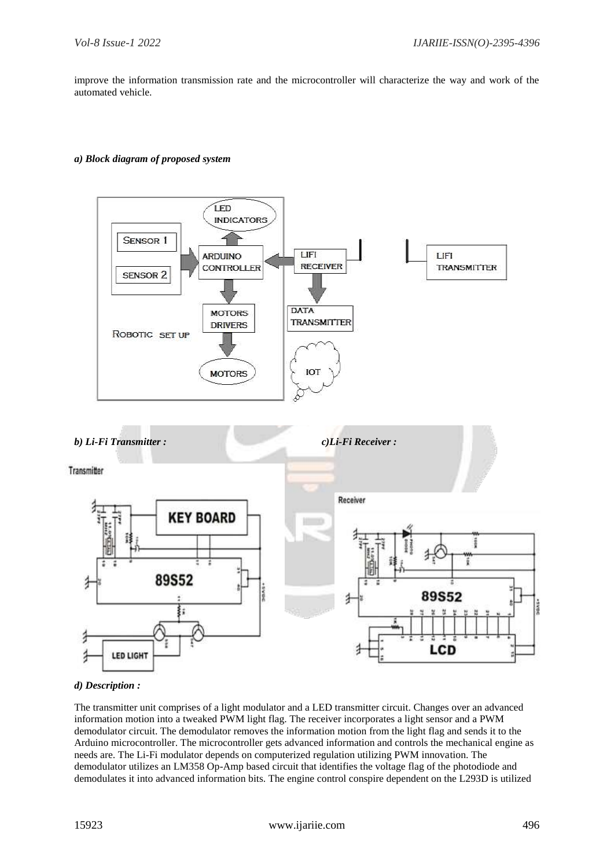improve the information transmission rate and the microcontroller will characterize the way and work of the automated vehicle.

#### *a) Block diagram of proposed system*



*d) Description :*

The transmitter unit comprises of a light modulator and a LED transmitter circuit. Changes over an advanced information motion into a tweaked PWM light flag. The receiver incorporates a light sensor and a PWM demodulator circuit. The demodulator removes the information motion from the light flag and sends it to the Arduino microcontroller. The microcontroller gets advanced information and controls the mechanical engine as needs are. The Li-Fi modulator depends on computerized regulation utilizing PWM innovation. The demodulator utilizes an LM358 Op-Amp based circuit that identifies the voltage flag of the photodiode and demodulates it into advanced information bits. The engine control conspire dependent on the L293D is utilized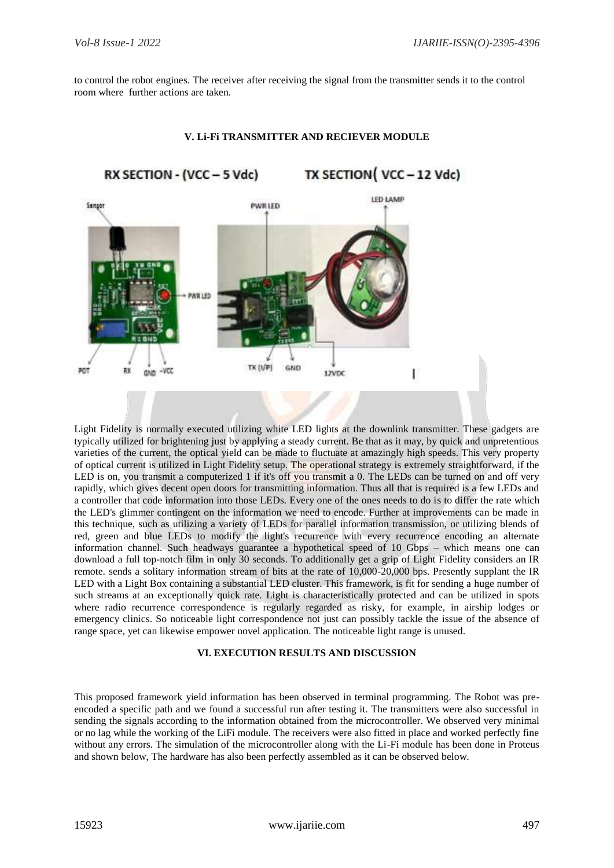to control the robot engines. The receiver after receiving the signal from the transmitter sends it to the control room where further actions are taken.



## **V. Li-Fi TRANSMITTER AND RECIEVER MODULE**

Light Fidelity is normally executed utilizing white LED lights at the downlink transmitter. These gadgets are typically utilized for brightening just by applying a steady current. Be that as it may, by quick and unpretentious varieties of the current, the optical yield can be made to fluctuate at amazingly high speeds. This very property of optical current is utilized in Light Fidelity setup. The operational strategy is extremely straightforward, if the LED is on, you transmit a computerized 1 if it's off you transmit a 0. The LEDs can be turned on and off very rapidly, which gives decent open doors for transmitting information. Thus all that is required is a few LEDs and a controller that code information into those LEDs. Every one of the ones needs to do is to differ the rate which the LED's glimmer contingent on the information we need to encode. Further at improvements can be made in this technique, such as utilizing a variety of LEDs for parallel information transmission, or utilizing blends of red, green and blue LEDs to modify the light's recurrence with every recurrence encoding an alternate information channel. Such headways guarantee a hypothetical speed of 10 Gbps – which means one can download a full top-notch film in only 30 seconds. To additionally get a grip of Light Fidelity considers an IR remote. sends a solitary information stream of bits at the rate of 10,000-20,000 bps. Presently supplant the IR LED with a Light Box containing a substantial LED cluster. This framework, is fit for sending a huge number of such streams at an exceptionally quick rate. Light is characteristically protected and can be utilized in spots where radio recurrence correspondence is regularly regarded as risky, for example, in airship lodges or emergency clinics. So noticeable light correspondence not just can possibly tackle the issue of the absence of range space, yet can likewise empower novel application. The noticeable light range is unused.

#### **VI. EXECUTION RESULTS AND DISCUSSION**

This proposed framework yield information has been observed in terminal programming. The Robot was preencoded a specific path and we found a successful run after testing it. The transmitters were also successful in sending the signals according to the information obtained from the microcontroller. We observed very minimal or no lag while the working of the LiFi module. The receivers were also fitted in place and worked perfectly fine without any errors. The simulation of the microcontroller along with the Li-Fi module has been done in Proteus and shown below, The hardware has also been perfectly assembled as it can be observed below.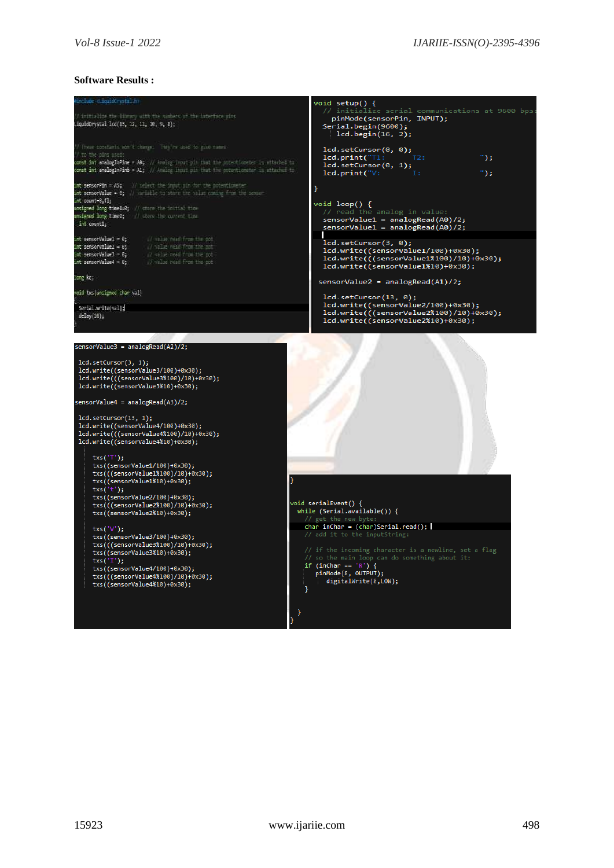#### **Software Results :**

| #include <liquidcrystal.ht< th=""><th>void setup() {</th></liquidcrystal.ht<>                                                                                                                                                                                                                                                                                                                                                                                                                                                                                                                                                                                                                                                                                                                                                                                | void setup() {                                                                                                                                                                                                                                                                                                                                                                                                                 |
|--------------------------------------------------------------------------------------------------------------------------------------------------------------------------------------------------------------------------------------------------------------------------------------------------------------------------------------------------------------------------------------------------------------------------------------------------------------------------------------------------------------------------------------------------------------------------------------------------------------------------------------------------------------------------------------------------------------------------------------------------------------------------------------------------------------------------------------------------------------|--------------------------------------------------------------------------------------------------------------------------------------------------------------------------------------------------------------------------------------------------------------------------------------------------------------------------------------------------------------------------------------------------------------------------------|
| // initialize the library with the numbers of the interface mins<br>LiquidCrystal lcd(13, 12, 11, 10, 9, 8);                                                                                                                                                                                                                                                                                                                                                                                                                                                                                                                                                                                                                                                                                                                                                 | // initialize serial communications at 9600 bps<br>pinMode(sensorPin, INPUT);<br>Serial.begin(9600);                                                                                                                                                                                                                                                                                                                           |
| / These constants won't change. They're used to give names<br>// to the pins uses<br>$\cos t$ int analogIsPine = AB; $//$ Analog input pin that the potentioneter is attached to:<br>const int analogInPinb = A1; // Analog input pln that the potentioneter is attached to<br>int sensorPin = A5; // select the input pin for the potentioneter<br>int sensorValue = $\epsilon$ ; // wartiable to store the value conting from the sensor<br>int count=8,fl;<br>unsigned long time1=0; // store the initial time<br>unsigned long time2; // store the current time<br>int count1;<br>$int$ sensorValue1 = $\theta$ ;<br>// value read from the pot<br>$int$ sensorValue2 = $0$ ;<br>// value read from the not<br>int sensorValue3 = 0;<br>// salue read from the pot<br>$int$ sensorValue4 = $0$ ;<br>// salce read from the pot                           | lcd.begin(16, 2);<br>lcd.setCursor(0, 0);<br>lcd.print("T1:<br>T2:<br>");<br>lcd.setCursor(0, 1);<br>lcd.print("V:<br>$\mathbf{I}$ :<br>");<br>}<br>void loop() {<br>// read the analog in value:<br>$sensorValue1 = analogRead(A0)/2;$<br>$sensorValue1 = analogRead(A0)/2;$<br>lcd.setCursor(3, 0);<br>lcd.write((sensorValue1/100)+0x30);<br>lcd.write(((sensorValue1%100)/10)+0x30);<br>lcd.write((sensorValue1%10)+0x30); |
| long ke;                                                                                                                                                                                                                                                                                                                                                                                                                                                                                                                                                                                                                                                                                                                                                                                                                                                     | sensorValue2 = analogRead(A1)/2;                                                                                                                                                                                                                                                                                                                                                                                               |
| void txs{unsighed char val)<br>Serial.write(val);<br>delay(28);                                                                                                                                                                                                                                                                                                                                                                                                                                                                                                                                                                                                                                                                                                                                                                                              | lcd.setCursor(13, 0);<br>lcd.write((sensorValue2/100)+0x30);<br>lcd.write(((sensorValue2%100)/10)+0x30);<br>lcd.write((sensorValue2%10)+0x30);                                                                                                                                                                                                                                                                                 |
| sensorValue3 = analogRead(A2)/2;<br>lcd.setCurson(3, 1);<br>lcd.write((sensorValue3/100)+0x30);<br>lcd.write(((sensorValue3%100)/10)+0x30);<br>lcd.write((sensorValue3%10)+0x30);<br>sensorValue4 = analogRead(A3)/2;<br>lcd.setCurson(13, 1);<br>lcd.write((sensorValue4/100)+0x30);<br>lcd.write(((sensorValue4%100)/10)+0x30);<br>lcd.write((sensorValue4%10)+0x30);<br>txs('T');<br>txs((sensorValue1/100)+0x30);<br>txs(((sensorValue1%100)/10)+0x30);<br>txs((sensorValue1%10)+0x30);<br>txs('t');<br>txs((sensorValue2/100)+0x30);<br>txs(((sensorValue2%100)/10)+0x30);<br>txs((sensorValue2%10)+0x30);<br>txs('V');<br>txs((sensorValue3/100)+0x30);<br>txs(((sensorValue3%100)/10)+0x30);<br>txs((sensorValue3%10)+0x30);<br>txs('I');<br>txs((sensorValue4/100)+0x30);<br>txs(((sensorValue4%100)/10)+0x30);<br>txs((sensorValue4%10)+0x30);<br>} | void serialEvent() {<br>while (Serial.available()) {<br>// get the new byte:<br>$char$ inChar = $(char)$ Serial.read $();$<br>// add it to the inputString:<br>// if the incoming character is a newline, set a flag<br>// so the main loop can do something about it:<br>if (inChar == $'R'$ ) {<br>pinMode(8, OUTPUT);<br>digitalWrite(8,LOW);                                                                               |
|                                                                                                                                                                                                                                                                                                                                                                                                                                                                                                                                                                                                                                                                                                                                                                                                                                                              |                                                                                                                                                                                                                                                                                                                                                                                                                                |